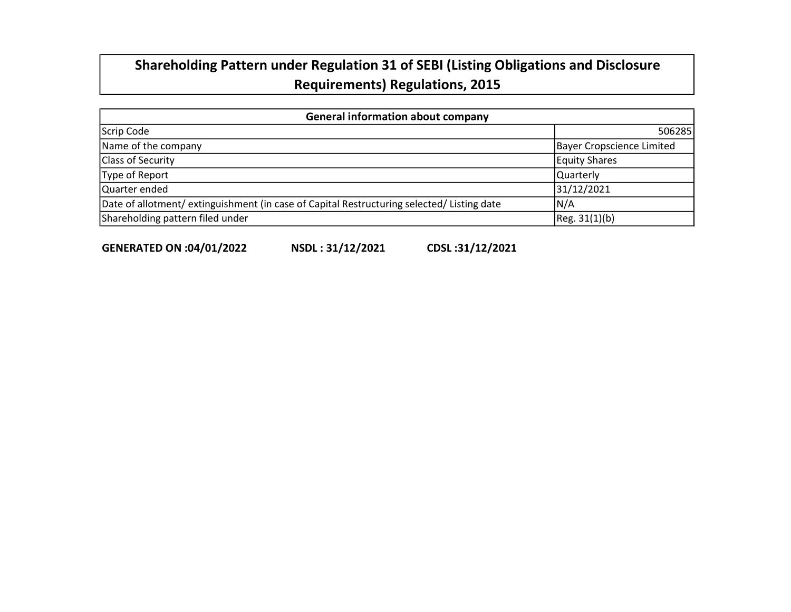# Shareholding Pattern under Regulation 31 of SEBI (Listing Obligations and Disclosure Requirements) Regulations, 2015

| <b>General information about company</b>                                                   |                           |  |  |  |  |  |  |  |  |  |
|--------------------------------------------------------------------------------------------|---------------------------|--|--|--|--|--|--|--|--|--|
| Scrip Code                                                                                 | 506285                    |  |  |  |  |  |  |  |  |  |
| Name of the company                                                                        | Bayer Cropscience Limited |  |  |  |  |  |  |  |  |  |
| <b>Class of Security</b>                                                                   | <b>Equity Shares</b>      |  |  |  |  |  |  |  |  |  |
| Type of Report                                                                             | Quarterly                 |  |  |  |  |  |  |  |  |  |
| Quarter ended                                                                              | 31/12/2021                |  |  |  |  |  |  |  |  |  |
| Date of allotment/ extinguishment (in case of Capital Restructuring selected/ Listing date | N/A                       |  |  |  |  |  |  |  |  |  |
| Shareholding pattern filed under                                                           | [Reg. 31(1)(b)]           |  |  |  |  |  |  |  |  |  |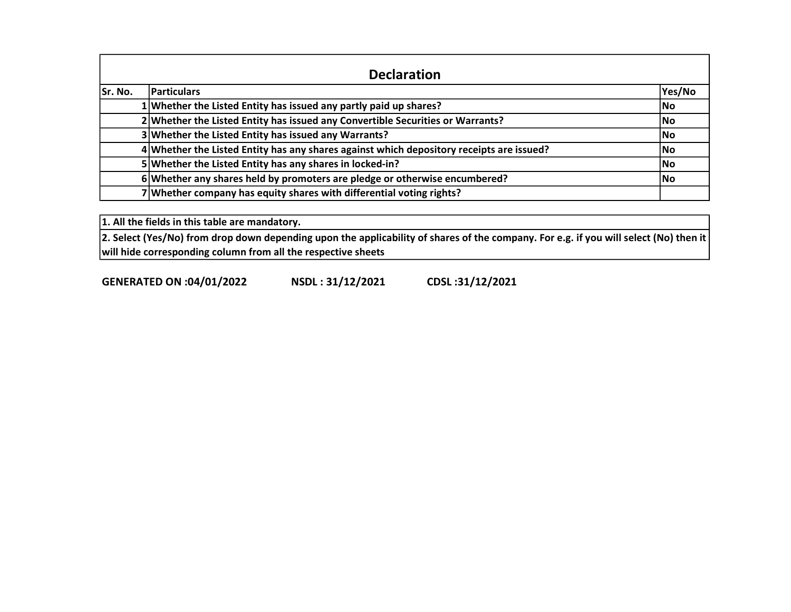|         | <b>Declaration</b>                                                                       |        |  |  |  |  |  |  |  |  |  |  |  |
|---------|------------------------------------------------------------------------------------------|--------|--|--|--|--|--|--|--|--|--|--|--|
| Sr. No. | <b>Particulars</b>                                                                       | Yes/No |  |  |  |  |  |  |  |  |  |  |  |
|         | 1 Whether the Listed Entity has issued any partly paid up shares?                        | No     |  |  |  |  |  |  |  |  |  |  |  |
|         | 2 Whether the Listed Entity has issued any Convertible Securities or Warrants?           | lNo.   |  |  |  |  |  |  |  |  |  |  |  |
|         | 3 Whether the Listed Entity has issued any Warrants?                                     | lNo.   |  |  |  |  |  |  |  |  |  |  |  |
|         | 4 Whether the Listed Entity has any shares against which depository receipts are issued? | lNo.   |  |  |  |  |  |  |  |  |  |  |  |
|         | 5 Whether the Listed Entity has any shares in locked-in?                                 | lNo.   |  |  |  |  |  |  |  |  |  |  |  |
|         | 6 Whether any shares held by promoters are pledge or otherwise encumbered?               | lNo.   |  |  |  |  |  |  |  |  |  |  |  |
|         | 7 Whether company has equity shares with differential voting rights?                     |        |  |  |  |  |  |  |  |  |  |  |  |

1. All the fields in this table are mandatory.

 $|$ 2. Select (Yes/No) from drop down depending upon the applicability of shares of the company. For e.g. if you will select (No) then it  $|$ will hide corresponding column from all the respective sheets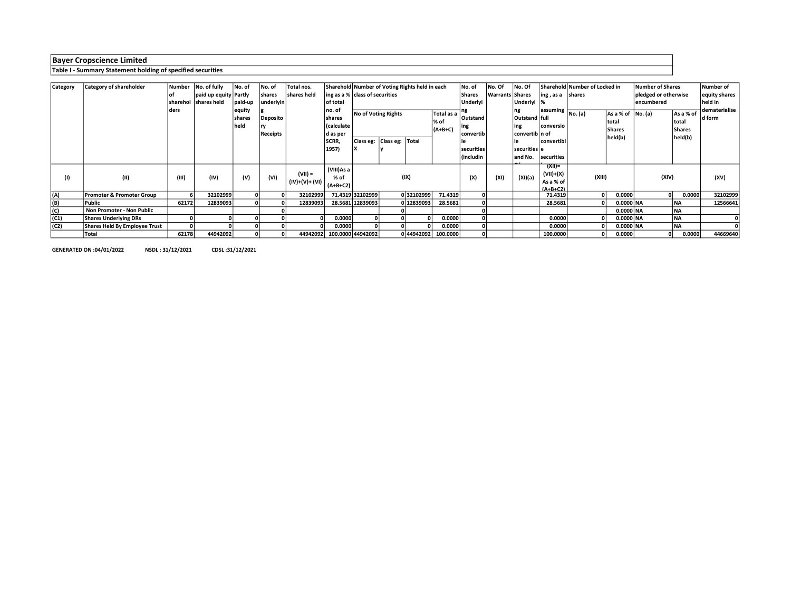## Table I - Summary Statement holding of specified securities

| Category | <b>Category of shareholder</b>       | Number | No. of fully          | No. of  | No. of    | Total nos.     |                                | Sharehold Number of Voting Rights held in each |                           |            |                     |                         | No. Of                 | No. Of           | Sharehold Number of Locked in |                                             |             |                      | <b>Number of Shares</b>    |                            |  |
|----------|--------------------------------------|--------|-----------------------|---------|-----------|----------------|--------------------------------|------------------------------------------------|---------------------------|------------|---------------------|-------------------------|------------------------|------------------|-------------------------------|---------------------------------------------|-------------|----------------------|----------------------------|----------------------------|--|
|          |                                      |        | paid up equity Partly |         | shares    | shares held    | ing as a % class of securities |                                                |                           |            |                     | No. of<br><b>Shares</b> | <b>Warrants Shares</b> |                  | ing, as a                     | shares                                      |             | pledged or otherwise |                            | Number of<br>equity shares |  |
|          |                                      |        |                       |         |           |                |                                |                                                |                           |            |                     |                         |                        |                  |                               |                                             |             |                      |                            |                            |  |
|          |                                      |        | sharehol shares held  | paid-up | underlyin |                | of total                       |                                                |                           |            |                     | Underlyi                |                        | Underlyi  %      |                               |                                             |             | encumbered           | held in                    |                            |  |
|          |                                      | l ders |                       | equity  |           |                | no. of                         |                                                | No of Voting Rights       |            | Total as a          |                         |                        | ng               |                               | assuming $\boxed{\mathsf{No}.(\mathsf{a})}$ | As a % of   | No. (a)              | As a % of                  | dematerialise              |  |
|          |                                      |        |                       | shares  | Deposito  |                | shares                         |                                                |                           | % of       |                     | Outstand                |                        | Outstand   full  |                               |                                             | total       |                      | total<br>Shares<br>held(b) | d form                     |  |
|          |                                      |        |                       | held    |           |                | Calculate                      |                                                |                           |            |                     | ing                     |                        | ing              | conversio                     |                                             |             |                      |                            |                            |  |
|          |                                      |        |                       |         | Receipts  |                | d as per                       |                                                | Class eg:<br><b>Total</b> |            | $(A+B+C)$           | convertib               |                        | convertib   n of |                               |                                             | Shares      |                      |                            |                            |  |
|          |                                      |        |                       |         |           |                | SCRR,                          | Class eg:                                      |                           |            |                     |                         |                        |                  | convertibl                    |                                             | held(b)     |                      |                            |                            |  |
|          |                                      |        |                       |         |           |                | 1957)                          |                                                |                           |            |                     | securities              |                        | securities le    |                               |                                             |             |                      |                            |                            |  |
|          |                                      |        |                       |         |           |                |                                |                                                |                           |            |                     | (includin               |                        | and No.          | securities.                   |                                             |             |                      |                            |                            |  |
|          |                                      |        |                       |         |           |                |                                |                                                |                           |            |                     |                         |                        |                  |                               |                                             |             |                      |                            |                            |  |
|          |                                      |        |                       |         |           |                | (VIII)As a                     |                                                |                           |            |                     |                         |                        |                  | $(XII) =$                     |                                             |             |                      |                            |                            |  |
| (1)      | (II)                                 | (III)  | (IV)                  | (V)     | (VI)      | $(VII) =$      | % of                           |                                                |                           | (IX)       |                     | (X)                     | (XI)                   | (XI)(a)          | $(VII)+(X)$                   | (XIII)                                      |             | (XIV)                |                            | (XV)                       |  |
|          |                                      |        |                       |         |           | (IV)+(V)+ (VI) | $(A+B+C2)$                     |                                                |                           |            |                     |                         |                        |                  | As a % of                     |                                             |             |                      |                            |                            |  |
|          |                                      |        |                       |         |           |                |                                |                                                |                           |            |                     |                         |                        |                  | $(A+R+C2)$                    |                                             |             |                      |                            |                            |  |
| (A)      | <b>Promoter &amp; Promoter Group</b> |        | 32102999              |         |           | 32102999       |                                | 71.4319 32102999                               |                           | 032102999  | 71.4319             |                         |                        |                  | 71.4319                       |                                             | 0.0000      |                      | 0.0000                     | 32102999                   |  |
| (B)      | Public                               | 62172  | 12839093              |         |           | 12839093       |                                | 28.5681 12839093                               |                           | 0 12839093 | 28.5681             |                         |                        |                  | 28.5681                       |                                             | $0.0000$ NA |                      | NA                         | 12566641                   |  |
| (C)      | Non Promoter - Non Public            |        |                       |         |           |                |                                |                                                |                           |            |                     |                         |                        |                  |                               |                                             | $0.0000$ NA |                      | <b>NA</b>                  |                            |  |
| (C1)     | <b>Shares Underlying DRs</b>         |        |                       |         |           |                | 0.0000                         |                                                |                           |            | 0.0000              |                         |                        |                  | 0.0000                        |                                             | 0.0000 NA   |                      | <b>NA</b>                  |                            |  |
| (C2)     | Shares Held By Employee Trust        |        |                       |         |           |                | 0.0000                         |                                                |                           |            | 0.0000              |                         |                        |                  | 0.0000                        |                                             | $0.0000$ NA |                      | <b>NA</b>                  |                            |  |
|          | Total                                | 62178  | 44942092              |         |           |                | 44942092 100.0000 44942092     |                                                |                           |            | 0 44942092 100.0000 |                         |                        |                  | 100.0000                      |                                             | 0.0000      |                      | 0.0000                     | 44669640                   |  |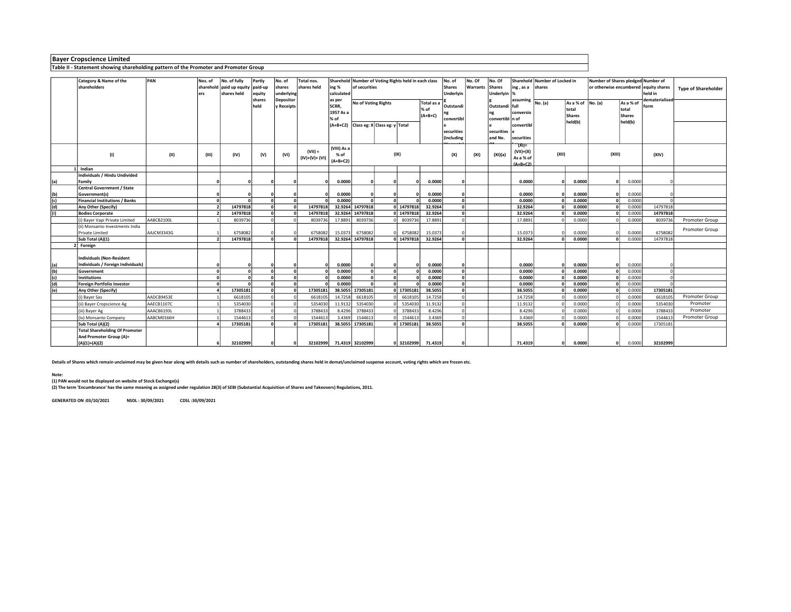Table II - Statement showing shareholding pattern of the Promoter and Promoter Group

|                  | Category & Name of the                | PAN        | Nos. of    | No. of fully                         | Partly     | No. of     | Total nos.      |             |                     | Sharehold Number of Voting Rights held in each class |          |           | No. of        | No. Of   | No. Of          | Sharehold Number of Locked in |          |                        | Number of Shares pledged Number of    |           |                |                            |
|------------------|---------------------------------------|------------|------------|--------------------------------------|------------|------------|-----------------|-------------|---------------------|------------------------------------------------------|----------|-----------|---------------|----------|-----------------|-------------------------------|----------|------------------------|---------------------------------------|-----------|----------------|----------------------------|
|                  | shareholders                          |            |            | sharehold   paid up equity   paid-up |            | shares     | shares held     | ing %       | of securities       |                                                      |          |           | <b>Shares</b> | Warrants | <b>Shares</b>   | ing, as a                     | shares   |                        | or otherwise encumbered equity shares |           |                | <b>Type of Shareholder</b> |
|                  |                                       |            |            | shares held                          | equity     | underlying |                 | calculated  |                     |                                                      |          |           | Underlyin     |          | Underlyin  9    |                               |          |                        |                                       |           | held in        |                            |
|                  |                                       |            |            |                                      | shares     | Depositor  |                 | as per      | No of Voting Rights |                                                      |          | Total as  |               |          |                 | assuming                      | No. (a)  | As a % of              | No. (a)                               | As a % of | dematerialised |                            |
|                  |                                       |            |            |                                      | held       | y Receipts |                 | SCRR.       |                     |                                                      |          | % of      | Outstandi     |          | Outstandi full  |                               |          |                        |                                       | total     | form           |                            |
|                  |                                       |            |            |                                      |            |            |                 | 1957 As a   |                     |                                                      |          | $(A+B+C)$ |               |          |                 | conversio                     |          | total<br><b>Shares</b> |                                       | Shares    |                |                            |
|                  |                                       |            |            |                                      |            |            |                 | % of        |                     |                                                      |          |           | convertibl    |          | convertibl      |                               |          | held(b)                |                                       | held(b)   |                |                            |
|                  |                                       |            |            |                                      |            |            |                 | $(A+B+C2)$  |                     | Class eg: X Class eg: y Total                        |          |           |               |          |                 | convertibl                    |          |                        |                                       |           |                |                            |
|                  |                                       |            |            |                                      |            |            |                 |             |                     |                                                      |          |           | securities    |          | securities      |                               |          |                        |                                       |           |                |                            |
|                  |                                       |            |            |                                      |            |            |                 |             |                     |                                                      |          |           | (including    |          | and No.         | securities                    |          |                        |                                       |           |                |                            |
|                  |                                       |            |            |                                      |            |            |                 | (VIII) As a |                     |                                                      |          |           |               |          |                 | $(XI) =$                      |          |                        |                                       |           |                |                            |
|                  | (1)                                   | (11)       | (III)      | (IV)                                 | (V)        | (VI)       | $(VII) =$       | % of        |                     | (IX)                                                 |          |           | (X)           |          | (XI)(a)<br>(XI) |                               | (XII)    |                        | (XIII)                                |           | (XIV)          |                            |
|                  |                                       |            |            |                                      |            |            | $(IV)+(V)+(VI)$ | $(A+B+C2)$  |                     |                                                      |          |           |               |          |                 | As a % of                     |          |                        |                                       |           |                |                            |
|                  | Indian                                |            |            |                                      |            |            |                 |             |                     |                                                      |          |           |               |          |                 | $(A+R+C2)$                    |          |                        |                                       |           |                |                            |
|                  | Individuals / Hindu Undivided         |            |            |                                      |            |            |                 |             |                     |                                                      |          |           |               |          |                 |                               |          |                        |                                       |           |                |                            |
| (a)              | Family                                |            |            |                                      |            |            |                 | 0.0000      |                     |                                                      |          | 0.0000    | 0             |          |                 | 0.0000                        | $\Omega$ | 0.0000                 | $\Omega$                              | 0.0000    |                |                            |
|                  | <b>Central Government / State</b>     |            |            |                                      |            |            |                 |             |                     |                                                      |          |           |               |          |                 |                               |          |                        |                                       |           |                |                            |
| (b)              | Government(s)                         |            |            |                                      |            |            |                 | 0.0000      |                     |                                                      |          | 0.0000    | $\Omega$      |          |                 | 0.0000                        |          | 0.0000                 |                                       | 0.0000    |                |                            |
| (c)              | <b>Financial Institutions / Banks</b> |            | $\sqrt{2}$ |                                      | $\sqrt{2}$ |            |                 | 0.0000      |                     |                                                      |          | 0.0000    | $\Omega$      |          |                 | 0.0000                        |          | 0.0000                 | $\Omega$                              | 0.0000    |                |                            |
| $\overline{(d)}$ | Any Other (Specify)                   |            |            | 14797818                             |            |            | 14797818        |             | 32.9264 14797818    |                                                      | 14797818 | 32.9264   | $\mathbf{0}$  |          |                 | 32.9264                       |          | 0.0000                 | $\Omega$                              | 0.0000    | 14797818       |                            |
|                  | <b>Bodies Corporate</b>               |            |            | 14797818                             |            |            | 14797818        | 32.9264     | 14797818            |                                                      | 14797818 | 32.9264   | $\Omega$      |          |                 | 32.9264                       |          | 0.0000                 |                                       | 0.0000    | 14797818       |                            |
|                  | (i) Bayer Vapi Private Limited        | AABCB2100L |            | 8039736                              |            |            | 8039736         | 17.8891     | 8039736             |                                                      | 8039736  | 17.8891   | $\mathbf{0}$  |          |                 | 17.8891                       |          | 0.0000                 |                                       | 0.0000    | 8039736        | Promoter Group             |
|                  | (ii) Monsanto Investments India       |            |            |                                      |            |            |                 |             |                     |                                                      |          |           |               |          |                 |                               |          |                        |                                       |           |                |                            |
|                  | Private Limited                       | AAJCM3343G |            | 6758082                              |            |            | 675808          | 15.0373     | 6758082             |                                                      | 6758082  | 15.0373   |               |          |                 | 15.0373                       |          | 0.0000                 |                                       | 0.0000    | 6758082        | Promoter Group             |
|                  | Sub Total (A)(1)                      |            |            | 14797818                             |            |            | 14797818        | 32.9264     | 14797818            |                                                      | 14797818 | 32.9264   | $\Omega$      |          |                 | 32.9264                       |          | 0.0000                 |                                       | 0.0000    | 14797818       |                            |
|                  | 2 Foreign                             |            |            |                                      |            |            |                 |             |                     |                                                      |          |           |               |          |                 |                               |          |                        |                                       |           |                |                            |
|                  |                                       |            |            |                                      |            |            |                 |             |                     |                                                      |          |           |               |          |                 |                               |          |                        |                                       |           |                |                            |
|                  | <b>Individuals (Non-Resident</b>      |            |            |                                      |            |            |                 |             |                     |                                                      |          |           |               |          |                 |                               |          |                        |                                       |           |                |                            |
| $\frac{a}{b}$    | Individuals / Foreign Individuals)    |            |            |                                      |            |            |                 | 0.0000      |                     |                                                      |          | 0.0000    | $\Omega$      |          |                 | 0.0000                        |          | 0.0000                 | $\Omega$                              | 0.0000    |                |                            |
|                  | Government                            |            | $\sqrt{2}$ |                                      | $\sqrt{2}$ | $\sqrt{2}$ |                 | 0.0000      | $\sqrt{2}$          |                                                      |          | 0.0000    | $\Omega$      |          |                 | 0.0000                        |          | 0.0000                 |                                       | 0.0000    |                |                            |
| (c)              | <b>Institutions</b>                   |            |            |                                      |            |            |                 | 0.0000      |                     |                                                      |          | 0.0000    | $\Omega$      |          |                 | 0.0000                        |          | 0.0000                 |                                       | 0.0000    |                |                            |
| (d)              | Foreign Portfolio Investor            |            | $\sqrt{2}$ |                                      |            |            |                 | 0.0000      |                     |                                                      |          | 0.0000    | $\Omega$      |          |                 | 0.0000                        |          | 0.0000                 |                                       | 0.0000    |                |                            |
| (e)              | Any Other (Specify)                   |            |            | 17305181                             |            |            | 17305181        |             | 38.5055 17305181    |                                                      | 17305181 | 38.5055   | $\Omega$      |          |                 | 38.5055                       |          | 0.0000                 |                                       | 0.0000    | 17305181       |                            |
|                  | (i) Bayer Sas                         | AADCB9453E |            | 6618105                              |            |            | 6618105         | 14.7258     | 6618105             |                                                      | 6618105  | 14.7258   | $\Omega$      |          |                 | 14.7258                       |          | 0.0000                 |                                       | 0.0000    | 6618105        | Promoter Group             |
|                  | (ii) Bayer Cropscience Ag             | AAECB1107C |            | 5354030                              |            |            | 5354030         | 11.9132     | 5354030             |                                                      | 5354030  | 11.9132   | $\Omega$      |          |                 | 11.9132                       |          | 0.0000                 |                                       | 0.0000    | 5354030        | Promoter                   |
|                  | (iii) Bayer Ag                        | AAACB6193L |            | 3788433                              |            |            | 3788433         | 8.4296      | 3788433             |                                                      | 3788433  | 8.4296    | $\Omega$      |          |                 | 8.4296                        |          | 0.0000                 |                                       | 0.0000    | 3788433        | Promoter                   |
|                  | (iv) Monsanto Company                 | AABCM0166H |            | 1544613                              |            |            | 154461          | 3.4369      | 1544613             |                                                      | 154461   | 3.4369    | $\Omega$      |          |                 | 3.4369                        |          | 0.0000                 |                                       | 0.0000    | 1544613        | Promoter Group             |
|                  | Sub Total (A)(2)                      |            |            | 17305181                             |            |            | 17305181        | 38.5055     | 17305181            |                                                      | 17305181 | 38.5055   | $\Omega$      |          |                 | 38.5055                       |          | 0.0000                 |                                       | 0.0000    | 17305181       |                            |
|                  | <b>Total Shareholding Of Promoter</b> |            |            |                                      |            |            |                 |             |                     |                                                      |          |           |               |          |                 |                               |          |                        |                                       |           |                |                            |
|                  | And Promoter Group (A)=               |            |            |                                      |            |            |                 |             |                     |                                                      |          |           |               |          |                 |                               |          |                        |                                       |           |                |                            |
|                  | $(A)(1)+(A)(2)$                       |            |            | 32102999                             |            |            | 32102999        |             | 71.4319 32102999    |                                                      | 32102999 | 71.4319   |               |          |                 | 71.4319                       | O        | 0.0000                 | O                                     | 0.0000    | 32102999       |                            |

Details of Shares which remain unclaimed may be given hear along with details such as number of shareholders, outstanding shares held in demat/unclaimed suspense account, voting rights which are frozen etc.

#### Note:

(1) PAN would not be displayed on website of Stock Exchange(s)

(2) The term 'Encumbrance' has the same meaning as assigned under regulation 28(3) of SEBI (Substantial Acquisition of Shares and Takeovers) Regulations, 2011.

GENERATED ON :03/10/2021 NSDL : 30/09/2021 CDSL :30/09/2021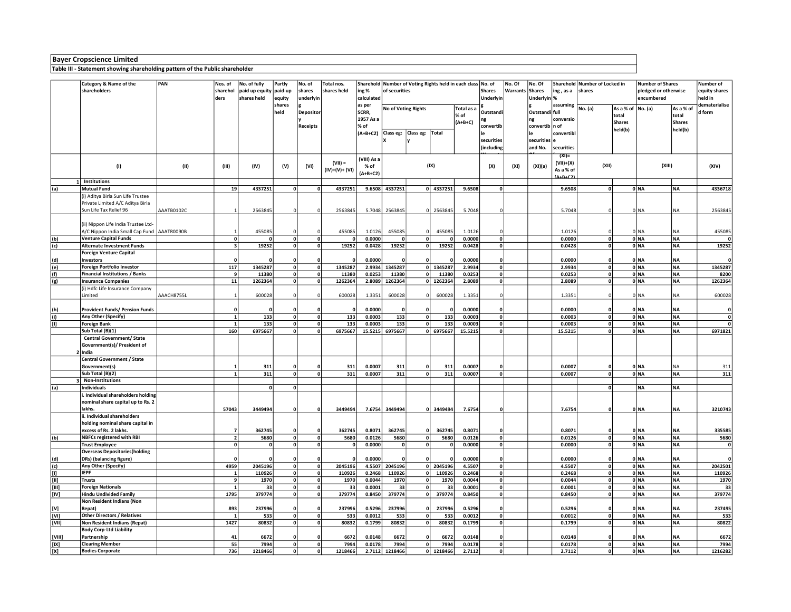## Table III - Statement showing shareholding pattern of the Public shareholder

|                                                                                                                                                                                                                                                                                                                                                                                                                                                                                                                                                                                                                                                                                                                                                                      | Category & Name of the                                                 | PAN        | Nos. of                 | No. of fully   | Partly                  | No. of         | Total nos.     |                        | Sharehold Number of Voting Rights held in each class No. of |                             |              |                  | No. Of                    | No. Of      |                      | Sharehold Number of Locked in |                         | <b>Number of Shares</b> |              | Number of              |               |
|----------------------------------------------------------------------------------------------------------------------------------------------------------------------------------------------------------------------------------------------------------------------------------------------------------------------------------------------------------------------------------------------------------------------------------------------------------------------------------------------------------------------------------------------------------------------------------------------------------------------------------------------------------------------------------------------------------------------------------------------------------------------|------------------------------------------------------------------------|------------|-------------------------|----------------|-------------------------|----------------|----------------|------------------------|-------------------------------------------------------------|-----------------------------|--------------|------------------|---------------------------|-------------|----------------------|-------------------------------|-------------------------|-------------------------|--------------|------------------------|---------------|
|                                                                                                                                                                                                                                                                                                                                                                                                                                                                                                                                                                                                                                                                                                                                                                      | shareholders                                                           |            | sharehol                | paid up equity | paid-up                 | shares         | shares held    | ing %<br>of securities |                                                             |                             |              | <b>Shares</b>    | Warrants Shares           |             | ing, as a            | shares                        |                         | pledged or otherwise    |              | equity shares          |               |
|                                                                                                                                                                                                                                                                                                                                                                                                                                                                                                                                                                                                                                                                                                                                                                      |                                                                        |            | ders                    | shares held    | equity                  | underlyin      |                | calculated             |                                                             |                             |              | Underlyin        |                           | Underlyin % |                      |                               |                         | encumbered              |              | held in                |               |
|                                                                                                                                                                                                                                                                                                                                                                                                                                                                                                                                                                                                                                                                                                                                                                      |                                                                        |            |                         |                | shares                  |                |                | as per                 |                                                             | No of Voting Rights         |              | Total as a       |                           |             |                      | assuming                      | No. (a)                 | As a % of   No. (a)     |              | As a % of              | dematerialise |
|                                                                                                                                                                                                                                                                                                                                                                                                                                                                                                                                                                                                                                                                                                                                                                      |                                                                        |            |                         |                | held                    | Depositor      |                | SCRR,                  |                                                             |                             |              | % of             | Outstandi                 |             | Outstandi full       |                               |                         | total                   |              | total                  | d form        |
|                                                                                                                                                                                                                                                                                                                                                                                                                                                                                                                                                                                                                                                                                                                                                                      |                                                                        |            |                         |                |                         |                |                | 1957 As a              |                                                             |                             |              | $(A+B+C)$        | ng<br>convertib           |             | ng<br>convertib n of | conversio                     |                         | <b>Shares</b>           |              | Shares                 |               |
|                                                                                                                                                                                                                                                                                                                                                                                                                                                                                                                                                                                                                                                                                                                                                                      |                                                                        |            |                         |                |                         | Receipts       |                | % of<br>$(A+B+C2)$     |                                                             | Class eg: Class eg: Total   |              |                  |                           |             |                      | convertibl                    |                         | held(b)                 |              | held(b)                |               |
|                                                                                                                                                                                                                                                                                                                                                                                                                                                                                                                                                                                                                                                                                                                                                                      |                                                                        |            |                         |                |                         |                |                |                        |                                                             |                             |              |                  | securities                |             | securities e         |                               |                         |                         |              |                        |               |
|                                                                                                                                                                                                                                                                                                                                                                                                                                                                                                                                                                                                                                                                                                                                                                      |                                                                        |            |                         |                |                         |                |                |                        |                                                             |                             |              |                  | (including                |             | and No.              | securities                    |                         |                         |              |                        |               |
|                                                                                                                                                                                                                                                                                                                                                                                                                                                                                                                                                                                                                                                                                                                                                                      |                                                                        |            |                         |                |                         |                |                |                        |                                                             |                             |              |                  |                           |             |                      | (XI)                          |                         |                         |              |                        |               |
|                                                                                                                                                                                                                                                                                                                                                                                                                                                                                                                                                                                                                                                                                                                                                                      |                                                                        |            |                         |                |                         |                | $(VII) =$      | (VIII) As a            |                                                             |                             |              |                  |                           |             |                      | (VII)+(X)                     |                         |                         |              |                        |               |
|                                                                                                                                                                                                                                                                                                                                                                                                                                                                                                                                                                                                                                                                                                                                                                      | (1)                                                                    | (II)       | (III)                   | (IV)           | (V)                     | (VI)           | (IV)+(V)+ (VI) | % of                   |                                                             |                             | (IX)         |                  | (X)                       | (XI)        | (XI)(a)              | As a % of                     | (XII)                   |                         | (XIII)       |                        | (XIV)         |
|                                                                                                                                                                                                                                                                                                                                                                                                                                                                                                                                                                                                                                                                                                                                                                      |                                                                        |            |                         |                |                         |                |                | $(A+B+C2)$             |                                                             |                             |              |                  |                           |             |                      | <u>(Δ+R+C2)</u>               |                         |                         |              |                        |               |
|                                                                                                                                                                                                                                                                                                                                                                                                                                                                                                                                                                                                                                                                                                                                                                      | Institutions                                                           |            |                         |                |                         |                |                |                        |                                                             |                             |              |                  |                           |             |                      |                               |                         |                         |              |                        |               |
| (a)                                                                                                                                                                                                                                                                                                                                                                                                                                                                                                                                                                                                                                                                                                                                                                  | <b>Mutual Fund</b>                                                     |            | 19                      | 4337251        | 0                       | $\Omega$       | 4337251        | 9.6508                 | 4337251                                                     |                             | $0$ 4337251  | 9.6508           | $\mathbf{0}$              |             |                      | 9.6508                        | 0                       |                         | 0 NA         | NA                     | 4336718       |
|                                                                                                                                                                                                                                                                                                                                                                                                                                                                                                                                                                                                                                                                                                                                                                      | (i) Aditya Birla Sun Life Trustee                                      |            |                         |                |                         |                |                |                        |                                                             |                             |              |                  |                           |             |                      |                               |                         |                         |              |                        |               |
|                                                                                                                                                                                                                                                                                                                                                                                                                                                                                                                                                                                                                                                                                                                                                                      | Private Limited A/C Aditya Birla<br>Sun Life Tax Relief 96             | AAATB0102C | $\overline{1}$          | 2563845        | 0                       | $\mathsf{C}$   | 2563845        | 5.7048                 | 2563845                                                     | $\mathbf 0$                 | 2563845      | 5.7048           | $\Omega$                  |             |                      | 5.7048                        | $\mathbf 0$             |                         | 0 NA         | NA                     | 2563845       |
|                                                                                                                                                                                                                                                                                                                                                                                                                                                                                                                                                                                                                                                                                                                                                                      |                                                                        |            |                         |                |                         |                |                |                        |                                                             |                             |              |                  |                           |             |                      |                               |                         |                         |              |                        |               |
|                                                                                                                                                                                                                                                                                                                                                                                                                                                                                                                                                                                                                                                                                                                                                                      | (ii) Nippon Life India Trustee Ltd-                                    |            |                         |                |                         |                |                |                        |                                                             |                             |              |                  |                           |             |                      |                               |                         |                         |              |                        |               |
|                                                                                                                                                                                                                                                                                                                                                                                                                                                                                                                                                                                                                                                                                                                                                                      | A/C Nippon India Small Cap Fund                                        | AAATROO9OB |                         | 455085         | 0                       | $\Omega$       | 455085         | 1.0126                 | 455085                                                      | $\Omega$                    | 455085       | 1.0126           | $\Omega$                  |             |                      | 1.0126                        | 0                       |                         | 0 NA         | <b>NA</b>              | 455085        |
| (b)                                                                                                                                                                                                                                                                                                                                                                                                                                                                                                                                                                                                                                                                                                                                                                  | <b>Venture Capital Funds</b>                                           |            | 0                       |                | $\overline{\mathbf{0}}$ | $\mathbf{0}$   | $\mathbf{0}$   | 0.0000                 | $\mathbf 0$                                                 | $\mathbf{0}$                |              | 0.0000           | $\overline{\mathfrak{o}}$ |             |                      | 0.0000                        | $\overline{\mathbf{0}}$ |                         | 0 NA         | <b>NA</b>              |               |
| (c)                                                                                                                                                                                                                                                                                                                                                                                                                                                                                                                                                                                                                                                                                                                                                                  | <b>Alternate Investment Funds</b>                                      |            | $\overline{\mathbf{3}}$ | 19252          | 0                       | $\mathbf{o}$   | 19252          | 0.0428                 | 19252                                                       | 0                           | 19252        | 0.0428           | 0                         |             |                      | 0.0428                        | 0                       |                         | 0 NA         | NA                     | 19252         |
|                                                                                                                                                                                                                                                                                                                                                                                                                                                                                                                                                                                                                                                                                                                                                                      | Foreign Venture Capital                                                |            |                         |                |                         |                |                |                        |                                                             |                             |              |                  |                           |             |                      |                               |                         |                         |              |                        |               |
| (d)                                                                                                                                                                                                                                                                                                                                                                                                                                                                                                                                                                                                                                                                                                                                                                  | <b>Investors</b>                                                       |            | $\mathbf{0}$            |                | $\mathbf{0}$            | $\mathbf{0}$   | $\Omega$       | 0.0000                 |                                                             | $\mathbf{0}$                |              | 0.0000           | $\mathbf 0$               |             |                      | 0.0000                        | 0                       |                         | 0 NA         | INA.                   |               |
| $\overline{e}$                                                                                                                                                                                                                                                                                                                                                                                                                                                                                                                                                                                                                                                                                                                                                       | <b>Foreign Portfolio Investor</b>                                      |            | $\overline{117}$        | 1345287        | 0                       | $\mathbf{0}$   | 1345287        | 2.9934                 | 1345287                                                     |                             | 0 1345287    | 2.9934           | $\overline{\mathfrak{o}}$ |             |                      | 2.9934                        | $\overline{0}$          |                         | $0$ NA       | <b>NA</b>              | 1345287       |
| (f)                                                                                                                                                                                                                                                                                                                                                                                                                                                                                                                                                                                                                                                                                                                                                                  | <b>Financial Institutions / Banks</b>                                  |            | 9                       | 11380          | 0                       | $\mathbf{0}$   | 11380          | 0.0253                 | 11380                                                       | $\mathbf{0}$                | 11380        | 0.0253           | 0                         |             |                      | 0.0253                        | $\overline{\mathbf{0}}$ |                         | 0 NA         | INA.                   | 8200          |
| (g)                                                                                                                                                                                                                                                                                                                                                                                                                                                                                                                                                                                                                                                                                                                                                                  | <b>Insurance Companies</b>                                             |            | 11                      | 1262364        | 0                       | $\mathbf{0}$   | 1262364        | 2.8089                 | 1262364                                                     |                             | 0 1262364    | 2.8089           | 0                         |             |                      | 2.8089                        | $\mathbf{0}$            |                         | 0 NA         | <b>NA</b>              | 1262364       |
|                                                                                                                                                                                                                                                                                                                                                                                                                                                                                                                                                                                                                                                                                                                                                                      | (i) Hdfc Life Insurance Company                                        |            |                         |                |                         |                |                |                        |                                                             |                             |              |                  |                           |             |                      |                               |                         |                         |              |                        |               |
|                                                                                                                                                                                                                                                                                                                                                                                                                                                                                                                                                                                                                                                                                                                                                                      | Limited                                                                | AAACH8755L |                         | 600028         | $\mathbf 0$             | $\mathbf 0$    | 600028         | 1.3351                 | 600028                                                      |                             | 600028       | 1.3351           | $\overline{0}$            |             |                      | 1.3351                        | $\mathbf 0$             |                         | 0 NA         | NA                     | 600028        |
|                                                                                                                                                                                                                                                                                                                                                                                                                                                                                                                                                                                                                                                                                                                                                                      | <b>Provident Funds/ Pension Funds</b>                                  |            | $\mathbf{0}$            |                |                         | O              |                | 0.0000                 | $\mathbf 0$                                                 |                             |              | 0.0000           | $\Omega$                  |             |                      | 0.0000                        | $\mathbf 0$             |                         |              |                        | 0             |
| (h)<br>(i)                                                                                                                                                                                                                                                                                                                                                                                                                                                                                                                                                                                                                                                                                                                                                           | Any Other (Specify)                                                    |            | $\mathbf{1}$            | 133            | $\mathbf{0}$<br> 0      | 0              | 133            | 0.0003                 | 133                                                         | $\mathbf 0$<br>$\mathbf 0$  | 133          | 0.0003           | 0                         |             |                      | 0.0003                        | $\mathbf{0}$            |                         | 0 NA<br>0 NA | <b>NA</b><br><b>NA</b> | $\mathbf{0}$  |
| $[1] % \begin{center} % \includegraphics[width=\textwidth]{images/Trn1.png} % \end{center} % \caption { % Our method can be used for the use of the image. % Let us use the image. % Let us use the image. % Let us use the image. % Let us use the image. % Let us use the image. % Let us use the image. % Let us use the image. % Let us use the image. % Let us use the image. % Let us use the image. % Let us use the image. % Let us use the image. % Let us use the image. % Let us use the image. % Let us use the image. % Let us use the image. % Let us use the image. % Let us use the image. % Let us use the image. % Let us use the image. % Let us use the image. % Let us use the image. % Let us use the image. % Let us use the image. % Let us$ | <b>Foreign Bank</b>                                                    |            | $\mathbf{1}$            | 133            | $\mathbf 0$             | $\mathbf{0}$   | 133            | 0.0003                 | 133                                                         | $\mathbf 0$                 | 133          | 0.0003           | 0                         |             |                      | 0.0003                        | 0                       |                         | 0 NA         | NA.                    |               |
|                                                                                                                                                                                                                                                                                                                                                                                                                                                                                                                                                                                                                                                                                                                                                                      | Sub Total (B)(1)                                                       |            | 160                     | 6975667        | 0                       | $\Omega$       | 6975667        | 15.5215                | 6975667                                                     |                             | 0 6975667    | 15.5215          | ol                        |             |                      | 15.5215                       | 0                       |                         | 0 NA         | <b>NA</b>              | 6971821       |
|                                                                                                                                                                                                                                                                                                                                                                                                                                                                                                                                                                                                                                                                                                                                                                      | <b>Central Government/ State</b>                                       |            |                         |                |                         |                |                |                        |                                                             |                             |              |                  |                           |             |                      |                               |                         |                         |              |                        |               |
|                                                                                                                                                                                                                                                                                                                                                                                                                                                                                                                                                                                                                                                                                                                                                                      | Government(s)/ President of                                            |            |                         |                |                         |                |                |                        |                                                             |                             |              |                  |                           |             |                      |                               |                         |                         |              |                        |               |
|                                                                                                                                                                                                                                                                                                                                                                                                                                                                                                                                                                                                                                                                                                                                                                      | 2 India                                                                |            |                         |                |                         |                |                |                        |                                                             |                             |              |                  |                           |             |                      |                               |                         |                         |              |                        |               |
|                                                                                                                                                                                                                                                                                                                                                                                                                                                                                                                                                                                                                                                                                                                                                                      | <b>Central Government / State</b>                                      |            |                         |                |                         |                |                |                        |                                                             |                             |              |                  |                           |             |                      |                               |                         |                         |              |                        |               |
|                                                                                                                                                                                                                                                                                                                                                                                                                                                                                                                                                                                                                                                                                                                                                                      | Government(s)                                                          |            | -1                      | 311            | $\mathbf{0}$            | o              | 311            | 0.0007                 | 311                                                         | $\mathbf{0}$                | 311          | 0.0007           | $\mathbf{0}$              |             |                      | 0.0007                        | $\Omega$                |                         | ONA          | <b>NA</b>              | 311           |
|                                                                                                                                                                                                                                                                                                                                                                                                                                                                                                                                                                                                                                                                                                                                                                      | Sub Total (B)(2)                                                       |            | $\mathbf{1}$            | 311            | $\overline{\mathbf{0}}$ | $\mathbf{0}$   | 311            | 0.0007                 | 311                                                         | $\mathbf 0$                 | 311          | 0.0007           | $\mathbf{0}$              |             |                      | 0.0007                        | 0                       |                         | 0 NA         | NA.                    | 311           |
|                                                                                                                                                                                                                                                                                                                                                                                                                                                                                                                                                                                                                                                                                                                                                                      | 3 Non-Institutions                                                     |            |                         |                |                         |                |                |                        |                                                             |                             |              |                  |                           |             |                      |                               |                         |                         |              |                        |               |
| (a)                                                                                                                                                                                                                                                                                                                                                                                                                                                                                                                                                                                                                                                                                                                                                                  | <b>Individuals</b>                                                     |            |                         | <sup>0</sup>   | 0                       |                |                |                        |                                                             |                             |              |                  |                           |             |                      |                               | $\mathbf{0}$            |                         | <b>NA</b>    | INA.                   |               |
|                                                                                                                                                                                                                                                                                                                                                                                                                                                                                                                                                                                                                                                                                                                                                                      | . Individual shareholders holding<br>nominal share capital up to Rs. 2 |            |                         |                |                         |                |                |                        |                                                             |                             |              |                  |                           |             |                      |                               |                         |                         |              |                        |               |
|                                                                                                                                                                                                                                                                                                                                                                                                                                                                                                                                                                                                                                                                                                                                                                      | lakhs.                                                                 |            | 57043                   | 3449494        | 0                       | 0              | 3449494        | 7.6754                 | 3449494                                                     | $\mathbf 0$                 | 3449494      | 7.6754           | 0                         |             |                      | 7.6754                        | $\mathbf 0$             |                         | 0 NA         | NA.                    | 3210743       |
|                                                                                                                                                                                                                                                                                                                                                                                                                                                                                                                                                                                                                                                                                                                                                                      | ii. Individual shareholders                                            |            |                         |                |                         |                |                |                        |                                                             |                             |              |                  |                           |             |                      |                               |                         |                         |              |                        |               |
|                                                                                                                                                                                                                                                                                                                                                                                                                                                                                                                                                                                                                                                                                                                                                                      | holding nominal share capital in                                       |            |                         |                |                         |                |                |                        |                                                             |                             |              |                  |                           |             |                      |                               |                         |                         |              |                        |               |
|                                                                                                                                                                                                                                                                                                                                                                                                                                                                                                                                                                                                                                                                                                                                                                      | excess of Rs. 2 lakhs.                                                 |            | $\overline{7}$          | 362745         | $\mathbf 0$             | $\Omega$       | 362745         | 0.8071                 | 362745                                                      | $\mathbf{0}$                | 362745       | 0.8071           | $\mathbf{0}$              |             |                      | 0.8071                        | $\mathbf 0$             |                         | 0 NA         | <b>NA</b>              | 335585        |
| (b)                                                                                                                                                                                                                                                                                                                                                                                                                                                                                                                                                                                                                                                                                                                                                                  | <b>NBFCs registered with RBI</b>                                       |            | $\overline{2}$          | 5680           | $\overline{\mathbf{0}}$ | $\Omega$       | 5680           | 0.0126                 | 5680                                                        | $\pmb{\mathsf{o}}$          | 5680         | 0.0126           | 0                         |             |                      | 0.0126                        | 0                       |                         | 0 NA         | NA                     | 5680          |
|                                                                                                                                                                                                                                                                                                                                                                                                                                                                                                                                                                                                                                                                                                                                                                      | <b>Trust Employee</b>                                                  |            | 0                       | 0              | 0                       | $\mathbf{0}$   | $\mathbf{0}$   | 0.0000                 | $\mathbf 0$                                                 | $\mathbf 0$                 |              | 0.0000           | 0                         |             |                      | 0.0000                        | 0                       |                         | 0 NA         | <b>NA</b>              | $\mathbf 0$   |
|                                                                                                                                                                                                                                                                                                                                                                                                                                                                                                                                                                                                                                                                                                                                                                      | <b>Overseas Depositories (holding</b>                                  |            |                         |                |                         |                |                |                        |                                                             |                             |              |                  |                           |             |                      |                               |                         |                         |              |                        |               |
| (d)                                                                                                                                                                                                                                                                                                                                                                                                                                                                                                                                                                                                                                                                                                                                                                  | DRs) (balancing figure)                                                |            | $\Omega$                |                | $\mathbf{0}$            |                |                | 0.0000                 |                                                             | $\mathbf{0}$                |              | 0.0000           | $\mathbf 0$               |             |                      | 0.0000                        | 0                       |                         | 0 NA         | <b>NA</b>              |               |
| (c)                                                                                                                                                                                                                                                                                                                                                                                                                                                                                                                                                                                                                                                                                                                                                                  | Any Other (Specify)                                                    |            | 4959                    | 2045196        | 0                       | o              | 2045196        | 4.5507                 | 2045196                                                     | $\mathbf{0}$                | 2045196      | 4.5507           | 0                         |             |                      | 4.5507                        | $\mathbf{0}$            |                         | 0 NA         | <b>NA</b>              | 2042501       |
| [I]                                                                                                                                                                                                                                                                                                                                                                                                                                                                                                                                                                                                                                                                                                                                                                  | <b>IEPF</b><br><b>Trusts</b>                                           |            | 1<br>9                  | 110926         | 0                       | 0              | 110926         | 0.2468                 | 110926                                                      | $\mathbf{0}$                | 110926       | 0.2468           | 0                         |             |                      | 0.2468                        | 0                       |                         | 0 NA         | <b>NA</b>              | 110926        |
| $[11]$<br>$[III] \centering% \subfloat[\centering \label{fig:non-1}% \includegraphics[width=0.5\textwidth]{Figures/PN1.png} \caption{The figure shows the number of samples of the data set. The first figure shows the number of samples of the data set. The first figure shows the number of samples of the data set.} \label{fig:non-1}$                                                                                                                                                                                                                                                                                                                                                                                                                         | <b>Foreign Nationals</b>                                               |            | $\mathbf{1}$            | 1970           | 0 <br> 0                | 0<br> 0        | 1970           | 0.0044<br>0.0001       | 1970                                                        | $\mathbf 0$<br>$\mathbf{0}$ | 1970         | 0.0044<br>0.0001 | 0 <br> 0                  |             |                      | 0.0044                        | 0 <br> 0                |                         | 0 NA<br>0 NA | <b>NA</b><br>NA        | 1970<br>33    |
| [IV]                                                                                                                                                                                                                                                                                                                                                                                                                                                                                                                                                                                                                                                                                                                                                                 | <b>Hindu Undivided Family</b>                                          |            | 1795                    | 33<br>379774   | 0                       | $\mathbf 0$    | 33<br>379774   | 0.8450                 | 33<br>379774                                                | $\mathbf 0$                 | 33<br>379774 | 0.8450           | 0                         |             |                      | 0.0001<br>0.8450              | 0                       |                         | 0 NA         | <b>NA</b>              | 379774        |
|                                                                                                                                                                                                                                                                                                                                                                                                                                                                                                                                                                                                                                                                                                                                                                      | Non Resident Indians (Non                                              |            |                         |                |                         |                |                |                        |                                                             |                             |              |                  |                           |             |                      |                               |                         |                         |              |                        |               |
| [V]                                                                                                                                                                                                                                                                                                                                                                                                                                                                                                                                                                                                                                                                                                                                                                  | Repat)                                                                 |            | 893                     | 237996         | $\mathbf 0$             | $\mathbf{0}$   | 237996         | 0.5296                 | 237996                                                      | $\mathbf{0}$                | 237996       | 0.5296           | $\Omega$                  |             |                      | 0.5296                        | 0                       |                         | 0 NA         | l NA                   | 237495        |
| $\overline{[V]}$                                                                                                                                                                                                                                                                                                                                                                                                                                                                                                                                                                                                                                                                                                                                                     | <b>Other Directors / Relatives</b>                                     |            | $\mathbf{1}$            | 533            | $\overline{\mathbf{0}}$ | $\overline{0}$ | 533            | 0.0012                 | 533                                                         | $\overline{\mathbf{0}}$     | 533          | 0.0012           | $\overline{\mathfrak{o}}$ |             |                      | 0.0012                        | $\overline{\mathbf{0}}$ |                         | $0$ NA       | <b>NA</b>              | 533           |
| [VII]                                                                                                                                                                                                                                                                                                                                                                                                                                                                                                                                                                                                                                                                                                                                                                | Non Resident Indians (Repat)                                           |            | 1427                    | 80832          | $\overline{\mathbf{0}}$ | $\mathbf{0}$   | 80832          | 0.1799                 | 80832                                                       | $\mathbf 0$                 | 80832        | 0.1799           | $\overline{\mathfrak{o}}$ |             |                      | 0.1799                        | 히                       |                         | 0 NA         | <b>NA</b>              | 80822         |
|                                                                                                                                                                                                                                                                                                                                                                                                                                                                                                                                                                                                                                                                                                                                                                      | <b>Body Corp-Ltd Liability</b>                                         |            |                         |                |                         |                |                |                        |                                                             |                             |              |                  |                           |             |                      |                               |                         |                         |              |                        |               |
| [VIII]                                                                                                                                                                                                                                                                                                                                                                                                                                                                                                                                                                                                                                                                                                                                                               | Partnership                                                            |            | 41                      | 6672           | $\mathbf{0}$            |                | 6672           | 0.0148                 | 6672                                                        |                             | 6672         | 0.0148           | 0                         |             |                      | 0.0148                        | $\mathbf 0$             |                         | 0 NA         | <b>NA</b>              | 6672          |
| [IX]                                                                                                                                                                                                                                                                                                                                                                                                                                                                                                                                                                                                                                                                                                                                                                 | <b>Clearing Member</b>                                                 |            | 55                      | 7994           | 0                       | $\mathbf{0}$   | 7994           | 0.0178                 | 7994                                                        | $\mathbf 0$                 | 7994         | 0.0178           | $\mathbf{0}$              |             |                      | 0.0178                        | 0                       |                         | 0 NA         | <b>NA</b>              | 7994          |
| [X]                                                                                                                                                                                                                                                                                                                                                                                                                                                                                                                                                                                                                                                                                                                                                                  | <b>Bodies Corporate</b>                                                |            | 736                     | 1218466        | $\overline{\mathbf{0}}$ | $\mathbf{0}$   | 1218466        | 2.7112                 | 1218466                                                     |                             | 0 1218466    | 2.7112           | $\overline{\mathbf{0}}$   |             |                      | 2.7112                        | $\overline{\mathbf{0}}$ |                         | 0 NA         | NA                     | 1216282       |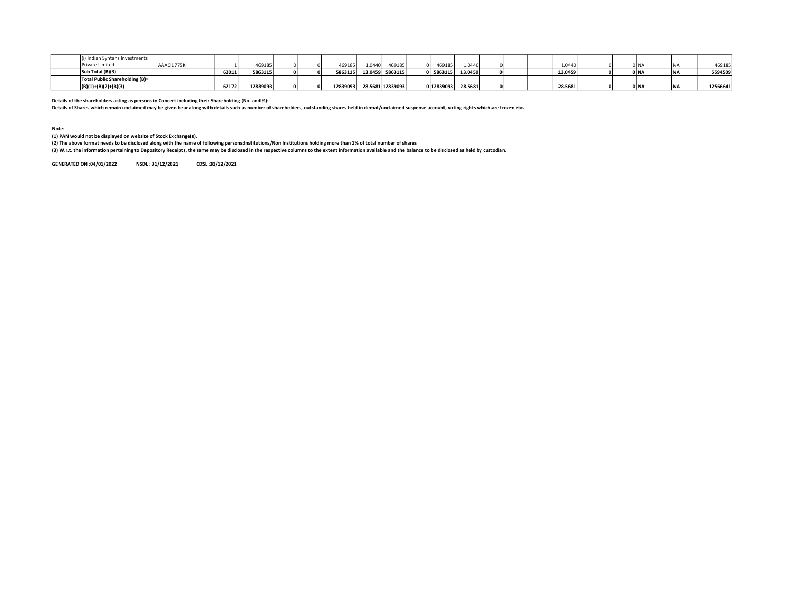| dian Syntans Investments       |       |          |  |         |         |                  |          |         |  |         |  |        |          |
|--------------------------------|-------|----------|--|---------|---------|------------------|----------|---------|--|---------|--|--------|----------|
| <sup>o</sup> rivate Limited    |       | 469185   |  | 469185  | 1.0440  | 469185           | 169185   | 1.0440  |  | 1.0440  |  | 0 N.   | 469185   |
| Sub Total (B)(3)               | 62011 | 5863115  |  | 5863115 | 13.0459 | 5863115          | 5863115  | 13.0459 |  | 13.0459 |  | 0 N    | 5594509  |
| Total Public Shareholding (B)= |       |          |  |         |         |                  |          |         |  |         |  |        |          |
| 'B)(1)+(B)(2)+(B)(3)           | 62172 | 12839093 |  | 1283909 |         | 28.5681 12839093 | 12839093 | 28.5681 |  | 28.5681 |  | 0 I N. | 12566641 |

Details of the shareholders acting as persons in Concert including their Shareholding (No. and %):<br>Details of Shares which remain unclaimed may be given hear along with details such as number of shareholders, outstanding s

Note: (1) PAN would not be displayed on website of Stock Exchange(s).

(2) The above format needs to be disclosed along with the name of following persons:Institutions/Non Institutions holding more than 1% of total number of shares

(3) W.r.t. the information pertaining to Depository Receipts, the same may be disclosed in the respective columns to the extent information available and the balance to be disclosed as held by custodian.